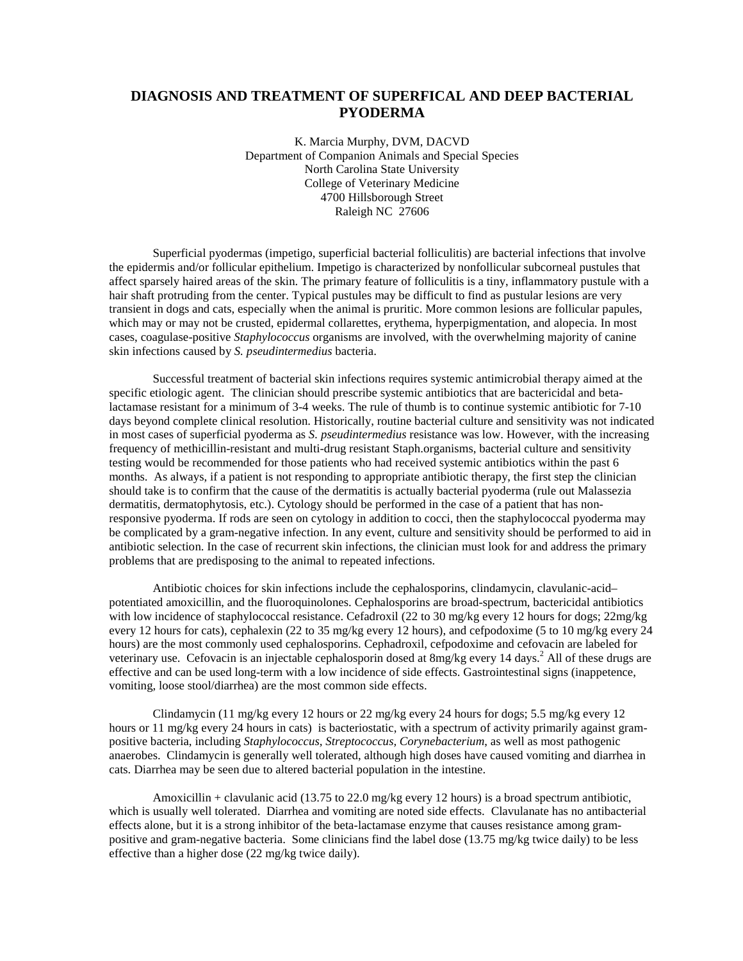## **DIAGNOSIS AND TREATMENT OF SUPERFICAL AND DEEP BACTERIAL PYODERMA**

K. Marcia Murphy, DVM, DACVD Department of Companion Animals and Special Species North Carolina State University College of Veterinary Medicine 4700 Hillsborough Street Raleigh NC 27606

Superficial pyodermas (impetigo, superficial bacterial folliculitis) are bacterial infections that involve the epidermis and/or follicular epithelium. Impetigo is characterized by nonfollicular subcorneal pustules that affect sparsely haired areas of the skin. The primary feature of folliculitis is a tiny, inflammatory pustule with a hair shaft protruding from the center. Typical pustules may be difficult to find as pustular lesions are very transient in dogs and cats, especially when the animal is pruritic. More common lesions are follicular papules, which may or may not be crusted, epidermal collarettes, erythema, hyperpigmentation, and alopecia. In most cases, coagulase-positive *Staphylococcus* organisms are involved, with the overwhelming majority of canine skin infections caused by *S. pseudintermedius* bacteria.

Successful treatment of bacterial skin infections requires systemic antimicrobial therapy aimed at the specific etiologic agent. The clinician should prescribe systemic antibiotics that are bactericidal and betalactamase resistant for a minimum of 3-4 weeks. The rule of thumb is to continue systemic antibiotic for 7-10 days beyond complete clinical resolution. Historically, routine bacterial culture and sensitivity was not indicated in most cases of superficial pyoderma as *S. pseudintermedius* resistance was low. However, with the increasing frequency of methicillin-resistant and multi-drug resistant Staph.organisms, bacterial culture and sensitivity testing would be recommended for those patients who had received systemic antibiotics within the past 6 months. As always, if a patient is not responding to appropriate antibiotic therapy, the first step the clinician should take is to confirm that the cause of the dermatitis is actually bacterial pyoderma (rule out Malassezia dermatitis, dermatophytosis, etc.). Cytology should be performed in the case of a patient that has nonresponsive pyoderma. If rods are seen on cytology in addition to cocci, then the staphylococcal pyoderma may be complicated by a gram-negative infection. In any event, culture and sensitivity should be performed to aid in antibiotic selection. In the case of recurrent skin infections, the clinician must look for and address the primary problems that are predisposing to the animal to repeated infections.

Antibiotic choices for skin infections include the cephalosporins, clindamycin, clavulanic-acid– potentiated amoxicillin, and the fluoroquinolones. Cephalosporins are broad-spectrum, bactericidal antibiotics with low incidence of staphylococcal resistance. Cefadroxil (22 to 30 mg/kg every 12 hours for dogs; 22mg/kg every 12 hours for cats), cephalexin (22 to 35 mg/kg every 12 hours), and cefpodoxime (5 to 10 mg/kg every 24 hours) are the most commonly used cephalosporins. Cephadroxil, cefpodoxime and cefovacin are labeled for veterinary use. Cefovacin is an injectable cephalosporin dosed at  $8mg/kg$  every 14 days.<sup>2</sup> All of these drugs are effective and can be used long-term with a low incidence of side effects. Gastrointestinal signs (inappetence, vomiting, loose stool/diarrhea) are the most common side effects.

Clindamycin (11 mg/kg every 12 hours or 22 mg/kg every 24 hours for dogs; 5.5 mg/kg every 12 hours or 11 mg/kg every 24 hours in cats) is bacteriostatic, with a spectrum of activity primarily against grampositive bacteria, including *Staphylococcus, Streptococcus, Corynebacterium*, as well as most pathogenic anaerobes. Clindamycin is generally well tolerated, although high doses have caused vomiting and diarrhea in cats. Diarrhea may be seen due to altered bacterial population in the intestine.

Amoxicillin + clavulanic acid (13.75 to 22.0 mg/kg every 12 hours) is a broad spectrum antibiotic, which is usually well tolerated. Diarrhea and vomiting are noted side effects. Clavulanate has no antibacterial effects alone, but it is a strong inhibitor of the beta-lactamase enzyme that causes resistance among grampositive and gram-negative bacteria. Some clinicians find the label dose (13.75 mg/kg twice daily) to be less effective than a higher dose (22 mg/kg twice daily).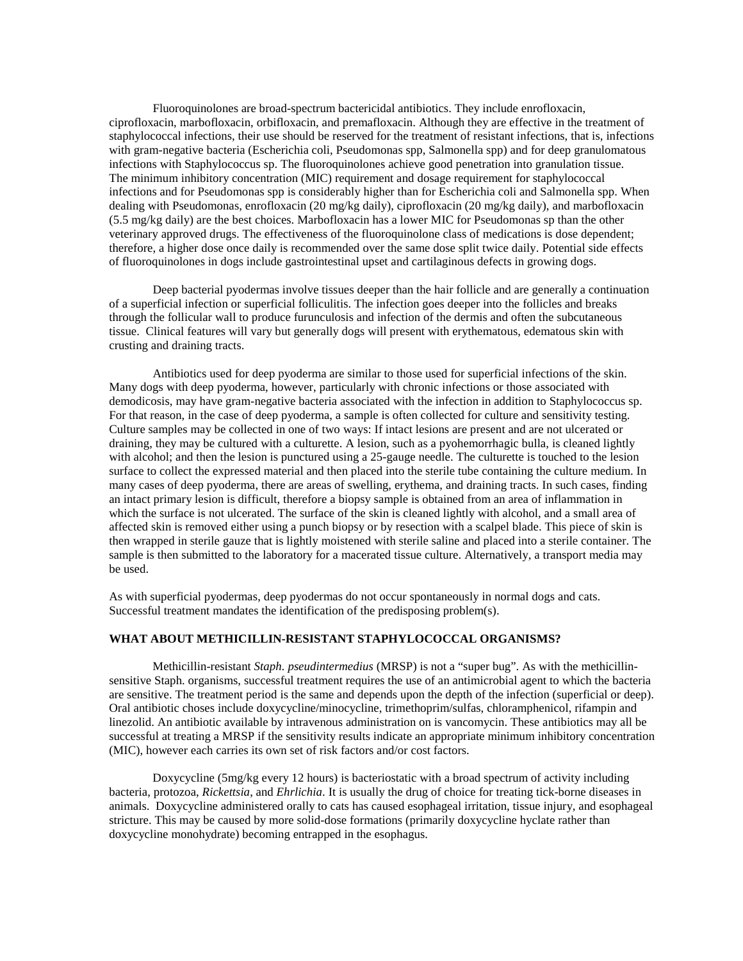Fluoroquinolones are broad-spectrum bactericidal antibiotics. They include enrofloxacin, ciprofloxacin, marbofloxacin, orbifloxacin, and premafloxacin. Although they are effective in the treatment of staphylococcal infections, their use should be reserved for the treatment of resistant infections, that is, infections with gram-negative bacteria (Escherichia coli, Pseudomonas spp, Salmonella spp) and for deep granulomatous infections with Staphylococcus sp. The fluoroquinolones achieve good penetration into granulation tissue. The minimum inhibitory concentration (MIC) requirement and dosage requirement for staphylococcal infections and for Pseudomonas spp is considerably higher than for Escherichia coli and Salmonella spp. When dealing with Pseudomonas, enrofloxacin (20 mg/kg daily), ciprofloxacin (20 mg/kg daily), and marbofloxacin (5.5 mg/kg daily) are the best choices. Marbofloxacin has a lower MIC for Pseudomonas sp than the other veterinary approved drugs. The effectiveness of the fluoroquinolone class of medications is dose dependent; therefore, a higher dose once daily is recommended over the same dose split twice daily. Potential side effects of fluoroquinolones in dogs include gastrointestinal upset and cartilaginous defects in growing dogs.

Deep bacterial pyodermas involve tissues deeper than the hair follicle and are generally a continuation of a superficial infection or superficial folliculitis. The infection goes deeper into the follicles and breaks through the follicular wall to produce furunculosis and infection of the dermis and often the subcutaneous tissue. Clinical features will vary but generally dogs will present with erythematous, edematous skin with crusting and draining tracts.

Antibiotics used for deep pyoderma are similar to those used for superficial infections of the skin. Many dogs with deep pyoderma, however, particularly with chronic infections or those associated with demodicosis, may have gram-negative bacteria associated with the infection in addition to Staphylococcus sp. For that reason, in the case of deep pyoderma, a sample is often collected for culture and sensitivity testing. Culture samples may be collected in one of two ways: If intact lesions are present and are not ulcerated or draining, they may be cultured with a culturette. A lesion, such as a pyohemorrhagic bulla, is cleaned lightly with alcohol; and then the lesion is punctured using a 25-gauge needle. The culturette is touched to the lesion surface to collect the expressed material and then placed into the sterile tube containing the culture medium. In many cases of deep pyoderma, there are areas of swelling, erythema, and draining tracts. In such cases, finding an intact primary lesion is difficult, therefore a biopsy sample is obtained from an area of inflammation in which the surface is not ulcerated. The surface of the skin is cleaned lightly with alcohol, and a small area of affected skin is removed either using a punch biopsy or by resection with a scalpel blade. This piece of skin is then wrapped in sterile gauze that is lightly moistened with sterile saline and placed into a sterile container. The sample is then submitted to the laboratory for a macerated tissue culture. Alternatively, a transport media may be used.

As with superficial pyodermas, deep pyodermas do not occur spontaneously in normal dogs and cats. Successful treatment mandates the identification of the predisposing problem(s).

## **WHAT ABOUT METHICILLIN-RESISTANT STAPHYLOCOCCAL ORGANISMS?**

Methicillin-resistant *Staph. pseudintermedius* (MRSP) is not a "super bug". As with the methicillinsensitive Staph. organisms, successful treatment requires the use of an antimicrobial agent to which the bacteria are sensitive. The treatment period is the same and depends upon the depth of the infection (superficial or deep). Oral antibiotic choses include doxycycline/minocycline, trimethoprim/sulfas, chloramphenicol, rifampin and linezolid. An antibiotic available by intravenous administration on is vancomycin. These antibiotics may all be successful at treating a MRSP if the sensitivity results indicate an appropriate minimum inhibitory concentration (MIC), however each carries its own set of risk factors and/or cost factors.

Doxycycline (5mg/kg every 12 hours) is bacteriostatic with a broad spectrum of activity including bacteria, protozoa, *Rickettsia*, and *Ehrlichia*. It is usually the drug of choice for treating tick-borne diseases in animals. Doxycycline administered orally to cats has caused esophageal irritation, tissue injury, and esophageal stricture. This may be caused by more solid-dose formations (primarily doxycycline hyclate rather than doxycycline monohydrate) becoming entrapped in the esophagus.